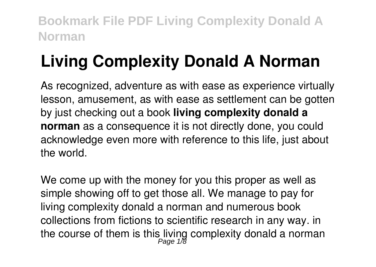# **Living Complexity Donald A Norman**

As recognized, adventure as with ease as experience virtually lesson, amusement, as with ease as settlement can be gotten by just checking out a book **living complexity donald a norman** as a consequence it is not directly done, you could acknowledge even more with reference to this life, just about the world.

We come up with the money for you this proper as well as simple showing off to get those all. We manage to pay for living complexity donald a norman and numerous book collections from fictions to scientific research in any way. in the course of them is this living complexity donald a norman<br>Page 1/8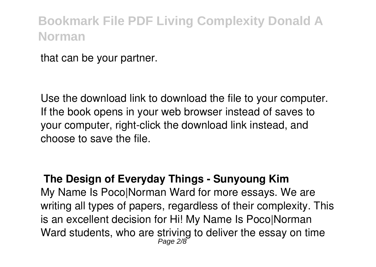that can be your partner.

Use the download link to download the file to your computer. If the book opens in your web browser instead of saves to your computer, right-click the download link instead, and choose to save the file.

#### **The Design of Everyday Things - Sunyoung Kim**

My Name Is Poco|Norman Ward for more essays. We are writing all types of papers, regardless of their complexity. This is an excellent decision for Hi! My Name Is Poco|Norman Ward students, who are striving to deliver the essay on time Page 2/8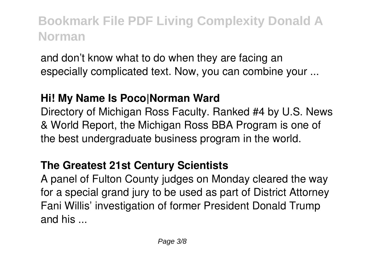and don't know what to do when they are facing an especially complicated text. Now, you can combine your ...

#### **Hi! My Name Is Poco|Norman Ward**

Directory of Michigan Ross Faculty. Ranked #4 by U.S. News & World Report, the Michigan Ross BBA Program is one of the best undergraduate business program in the world.

### **The Greatest 21st Century Scientists**

A panel of Fulton County judges on Monday cleared the way for a special grand jury to be used as part of District Attorney Fani Willis' investigation of former President Donald Trump and his ...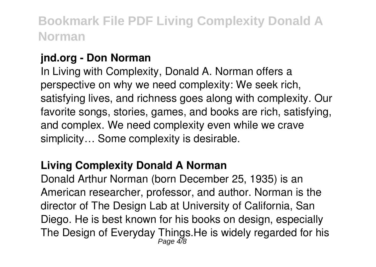#### **jnd.org - Don Norman**

In Living with Complexity, Donald A. Norman offers a perspective on why we need complexity: We seek rich, satisfying lives, and richness goes along with complexity. Our favorite songs, stories, games, and books are rich, satisfying, and complex. We need complexity even while we crave simplicity… Some complexity is desirable.

#### **Living Complexity Donald A Norman**

Donald Arthur Norman (born December 25, 1935) is an American researcher, professor, and author. Norman is the director of The Design Lab at University of California, San Diego. He is best known for his books on design, especially The Design of Everyday Things.He is widely regarded for his<br> $_{Page 4/8}^{\text{Page 4/8}}$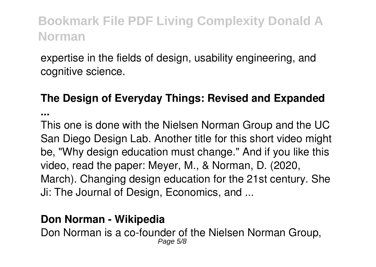expertise in the fields of design, usability engineering, and cognitive science.

### **The Design of Everyday Things: Revised and Expanded**

**...**

This one is done with the Nielsen Norman Group and the UC San Diego Design Lab. Another title for this short video might be, "Why design education must change." And if you like this video, read the paper: Meyer, M., & Norman, D. (2020, March). Changing design education for the 21st century. She Ji: The Journal of Design, Economics, and ...

#### **Don Norman - Wikipedia**

Don Norman is a co-founder of the Nielsen Norman Group, Page 5/8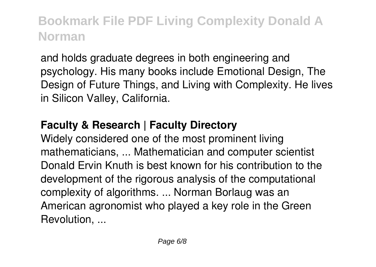and holds graduate degrees in both engineering and psychology. His many books include Emotional Design, The Design of Future Things, and Living with Complexity. He lives in Silicon Valley, California.

#### **Faculty & Research | Faculty Directory**

Widely considered one of the most prominent living mathematicians, ... Mathematician and computer scientist Donald Ervin Knuth is best known for his contribution to the development of the rigorous analysis of the computational complexity of algorithms. ... Norman Borlaug was an American agronomist who played a key role in the Green Revolution, ...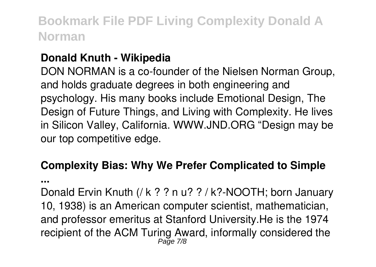#### **Donald Knuth - Wikipedia**

DON NORMAN is a co-founder of the Nielsen Norman Group, and holds graduate degrees in both engineering and psychology. His many books include Emotional Design, The Design of Future Things, and Living with Complexity. He lives in Silicon Valley, California. WWW.JND.ORG "Design may be our top competitive edge.

### **Complexity Bias: Why We Prefer Complicated to Simple**

**...**

Donald Ervin Knuth (/ k ? ? n u? ? / k?-NOOTH; born January 10, 1938) is an American computer scientist, mathematician, and professor emeritus at Stanford University.He is the 1974 recipient of the ACM Turing Award, informally considered the Page 7/8